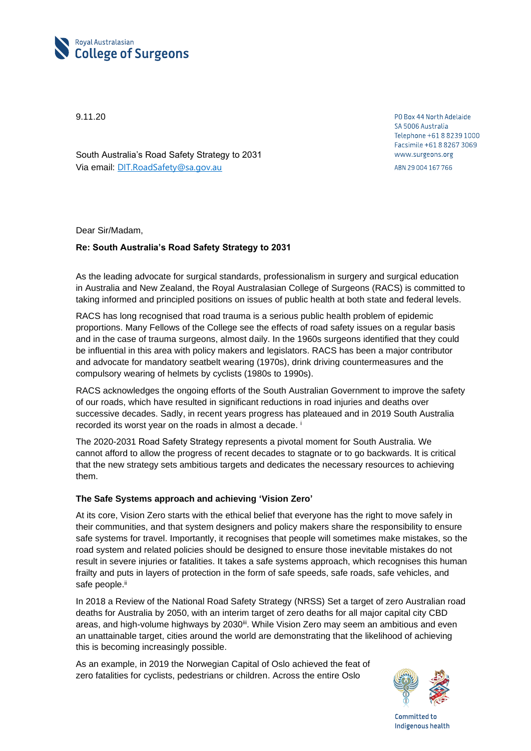

9.11.20

South Australia's Road Safety Strategy to 2031 Via email: [DIT.RoadSafety@sa.gov.au](mailto:DIT.RoadSafety@sa.gov.au)

PO Box 44 North Adelaide SA 5006 Australia Telephone +61 8 8239 1000 Facsimile +61 8 8267 3069 www.surgeons.org

ABN 29 004 167 766

Dear Sir/Madam,

## **Re: South Australia's Road Safety Strategy to 2031**

As the leading advocate for surgical standards, professionalism in surgery and surgical education in Australia and New Zealand, the Royal Australasian College of Surgeons (RACS) is committed to taking informed and principled positions on issues of public health at both state and federal levels.

RACS has long recognised that road trauma is a serious public health problem of epidemic proportions. Many Fellows of the College see the effects of road safety issues on a regular basis and in the case of trauma surgeons, almost daily. In the 1960s surgeons identified that they could be influential in this area with policy makers and legislators. RACS has been a major contributor and advocate for mandatory seatbelt wearing (1970s), drink driving countermeasures and the compulsory wearing of helmets by cyclists (1980s to 1990s).

RACS acknowledges the ongoing efforts of the South Australian Government to improve the safety of our roads, which have resulted in significant reductions in road injuries and deaths over successive decades. Sadly, in recent years progress has plateaued and in 2019 South Australia recorded its worst year on the roads in almost a decade.<sup>i</sup>

The 2020-2031 Road Safety Strategy represents a pivotal moment for South Australia. We cannot afford to allow the progress of recent decades to stagnate or to go backwards. It is critical that the new strategy sets ambitious targets and dedicates the necessary resources to achieving them.

## **The Safe Systems approach and achieving 'Vision Zero'**

At its core, Vision Zero starts with the ethical belief that everyone has the right to move safely in their communities, and that system designers and policy makers share the responsibility to ensure safe systems for travel. Importantly, it recognises that people will sometimes make mistakes, so the road system and related policies should be designed to ensure those inevitable mistakes do not result in severe injuries or fatalities. It takes a safe systems approach, which recognises this human frailty and puts in layers of protection in the form of safe speeds, safe roads, safe vehicles, and safe people.<sup>ii</sup>

In 2018 a Review of the National Road Safety Strategy (NRSS) Set a target of zero Australian road deaths for Australia by 2050, with an interim target of zero deaths for all major capital city CBD areas, and high-volume highways by 2030<sup>ii</sup>. While Vision Zero may seem an ambitious and even an unattainable target, cities around the world are demonstrating that the likelihood of achieving this is becoming increasingly possible.

As an example, in 2019 the Norwegian Capital of Oslo achieved the feat of zero fatalities for cyclists, pedestrians or children. Across the entire Oslo



Committed to Indigenous health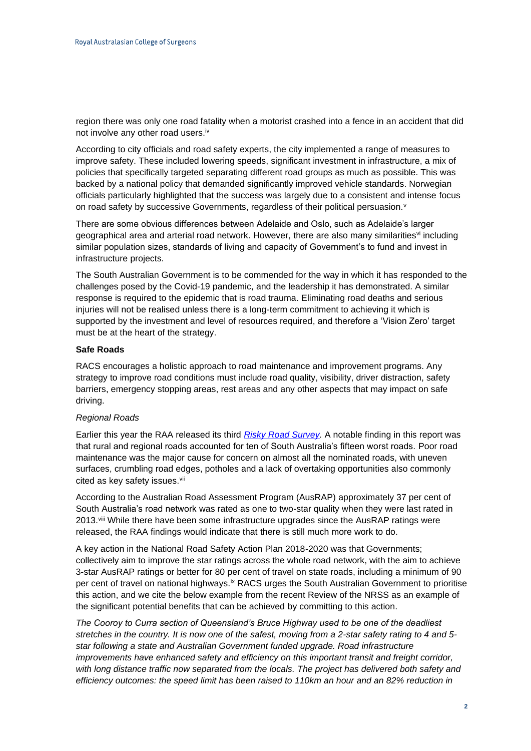region there was only one road fatality when a motorist crashed into a fence in an accident that did not involve any other road users.<sup>iv</sup>

According to city officials and road safety experts, the city implemented a range of measures to improve safety. These included lowering speeds, significant investment in infrastructure, a mix of policies that specifically targeted separating different road groups as much as possible. This was backed by a national policy that demanded significantly improved vehicle standards. Norwegian officials particularly highlighted that the success was largely due to a consistent and intense focus on road safety by successive Governments, regardless of their political persuasion.<sup>v</sup>

There are some obvious differences between Adelaide and Oslo, such as Adelaide's larger geographical area and arterial road network. However, there are also many similarities<sup>yi</sup> including similar population sizes, standards of living and capacity of Government's to fund and invest in infrastructure projects.

The South Australian Government is to be commended for the way in which it has responded to the challenges posed by the Covid-19 pandemic, and the leadership it has demonstrated. A similar response is required to the epidemic that is road trauma. Eliminating road deaths and serious injuries will not be realised unless there is a long-term commitment to achieving it which is supported by the investment and level of resources required, and therefore a 'Vision Zero' target must be at the heart of the strategy.

## **Safe Roads**

RACS encourages a holistic approach to road maintenance and improvement programs. Any strategy to improve road conditions must include road quality, visibility, driver distraction, safety barriers, emergency stopping areas, rest areas and any other aspects that may impact on safe driving.

#### *Regional Roads*

Earlier this year the RAA released its third *[Risky Road Survey.](https://our.raa.com.au/about-raa/risky-roads)* A notable finding in this report was that rural and regional roads accounted for ten of South Australia's fifteen worst roads. Poor road maintenance was the major cause for concern on almost all the nominated roads, with uneven surfaces, crumbling road edges, potholes and a lack of overtaking opportunities also commonly cited as key safety issues.<sup>vii</sup>

According to the Australian Road Assessment Program (AusRAP) approximately 37 per cent of South Australia's road network was rated as one to two-star quality when they were last rated in 2013.<sup>viii</sup> While there have been some infrastructure upgrades since the AusRAP ratings were released, the RAA findings would indicate that there is still much more work to do.

A key action in the National Road Safety Action Plan 2018-2020 was that Governments; collectively aim to improve the star ratings across the whole road network, with the aim to achieve 3-star AusRAP ratings or better for 80 per cent of travel on state roads, including a minimum of 90 per cent of travel on national highways.ix RACS urges the South Australian Government to prioritise this action, and we cite the below example from the recent Review of the NRSS as an example of the significant potential benefits that can be achieved by committing to this action.

*The Cooroy to Curra section of Queensland's Bruce Highway used to be one of the deadliest stretches in the country. It is now one of the safest, moving from a 2-star safety rating to 4 and 5 star following a state and Australian Government funded upgrade. Road infrastructure*  improvements have enhanced safety and efficiency on this important transit and freight corridor, *with long distance traffic now separated from the locals. The project has delivered both safety and efficiency outcomes: the speed limit has been raised to 110km an hour and an 82% reduction in*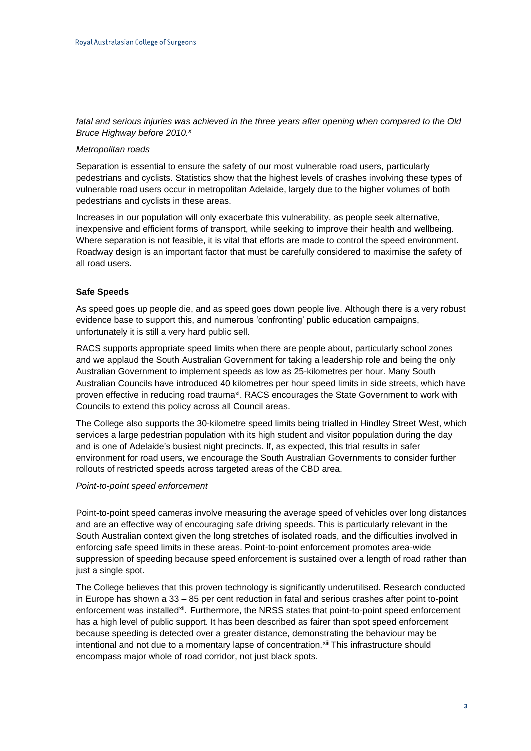## *fatal and serious injuries was achieved in the three years after opening when compared to the Old Bruce Highway before 2010.<sup>x</sup>*

#### *Metropolitan roads*

Separation is essential to ensure the safety of our most vulnerable road users, particularly pedestrians and cyclists. Statistics show that the highest levels of crashes involving these types of vulnerable road users occur in metropolitan Adelaide, largely due to the higher volumes of both pedestrians and cyclists in these areas.

Increases in our population will only exacerbate this vulnerability, as people seek alternative, inexpensive and efficient forms of transport, while seeking to improve their health and wellbeing. Where separation is not feasible, it is vital that efforts are made to control the speed environment. Roadway design is an important factor that must be carefully considered to maximise the safety of all road users.

#### **Safe Speeds**

As speed goes up people die, and as speed goes down people live. Although there is a very robust evidence base to support this, and numerous 'confronting' public education campaigns, unfortunately it is still a very hard public sell.

RACS supports appropriate speed limits when there are people about, particularly school zones and we applaud the South Australian Government for taking a leadership role and being the only Australian Government to implement speeds as low as 25-kilometres per hour. Many South Australian Councils have introduced 40 kilometres per hour speed limits in side streets, which have proven effective in reducing road trauma<sup>xi</sup>. RACS encourages the State Government to work with Councils to extend this policy across all Council areas.

The College also supports the 30-kilometre speed limits being trialled in Hindley Street West, which services a large pedestrian population with its high student and visitor population during the day and is one of Adelaide's busiest night precincts. If, as expected, this trial results in safer environment for road users, we encourage the South Australian Governments to consider further rollouts of restricted speeds across targeted areas of the CBD area.

#### *Point-to-point speed enforcement*

Point-to-point speed cameras involve measuring the average speed of vehicles over long distances and are an effective way of encouraging safe driving speeds. This is particularly relevant in the South Australian context given the long stretches of isolated roads, and the difficulties involved in enforcing safe speed limits in these areas. Point-to-point enforcement promotes area-wide suppression of speeding because speed enforcement is sustained over a length of road rather than just a single spot.

The College believes that this proven technology is significantly underutilised. Research conducted in Europe has shown a 33 – 85 per cent reduction in fatal and serious crashes after point to-point enforcement was installed<sup>xii</sup>. Furthermore, the NRSS states that point-to-point speed enforcement has a high level of public support. It has been described as fairer than spot speed enforcement because speeding is detected over a greater distance, demonstrating the behaviour may be intentional and not due to a momentary lapse of concentration. Xill This infrastructure should encompass major whole of road corridor, not just black spots.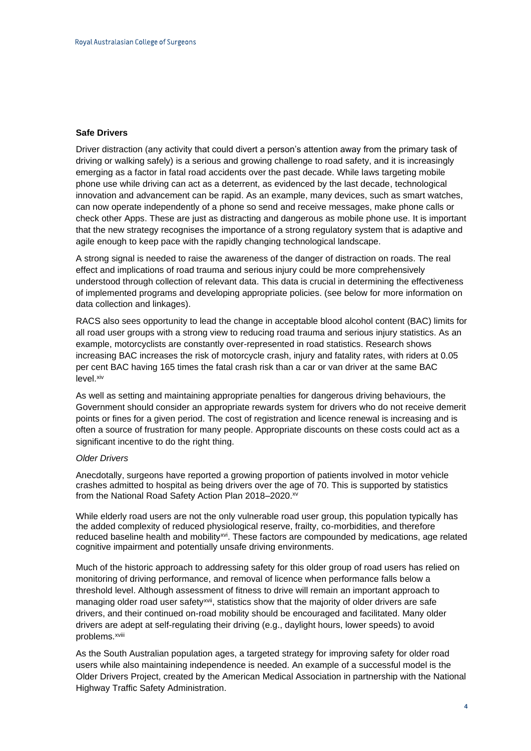### **Safe Drivers**

Driver distraction (any activity that could divert a person's attention away from the primary task of driving or walking safely) is a serious and growing challenge to road safety, and it is increasingly emerging as a factor in fatal road accidents over the past decade. While laws targeting mobile phone use while driving can act as a deterrent, as evidenced by the last decade, technological innovation and advancement can be rapid. As an example, many devices, such as smart watches, can now operate independently of a phone so send and receive messages, make phone calls or check other Apps. These are just as distracting and dangerous as mobile phone use. It is important that the new strategy recognises the importance of a strong regulatory system that is adaptive and agile enough to keep pace with the rapidly changing technological landscape.

A strong signal is needed to raise the awareness of the danger of distraction on roads. The real effect and implications of road trauma and serious injury could be more comprehensively understood through collection of relevant data. This data is crucial in determining the effectiveness of implemented programs and developing appropriate policies. (see below for more information on data collection and linkages).

RACS also sees opportunity to lead the change in acceptable blood alcohol content (BAC) limits for all road user groups with a strong view to reducing road trauma and serious injury statistics. As an example, motorcyclists are constantly over-represented in road statistics. Research shows increasing BAC increases the risk of motorcycle crash, injury and fatality rates, with riders at 0.05 per cent BAC having 165 times the fatal crash risk than a car or van driver at the same BAC level. xiv

As well as setting and maintaining appropriate penalties for dangerous driving behaviours, the Government should consider an appropriate rewards system for drivers who do not receive demerit points or fines for a given period. The cost of registration and licence renewal is increasing and is often a source of frustration for many people. Appropriate discounts on these costs could act as a significant incentive to do the right thing.

#### *Older Drivers*

Anecdotally, surgeons have reported a growing proportion of patients involved in motor vehicle crashes admitted to hospital as being drivers over the age of 70. This is supported by statistics from the National Road Safety Action Plan 2018-2020.<sup>xv</sup>

While elderly road users are not the only vulnerable road user group, this population typically has the added complexity of reduced physiological reserve, frailty, co-morbidities, and therefore reduced baseline health and mobility<sup>xvi</sup>. These factors are compounded by medications, age related cognitive impairment and potentially unsafe driving environments.

Much of the historic approach to addressing safety for this older group of road users has relied on monitoring of driving performance, and removal of licence when performance falls below a threshold level. Although assessment of fitness to drive will remain an important approach to managing older road user safety<sup>xvii</sup>, statistics show that the majority of older drivers are safe drivers, and their continued on-road mobility should be encouraged and facilitated. Many older drivers are adept at self-regulating their driving (e.g., daylight hours, lower speeds) to avoid problems.<sup>xviii</sup>

As the South Australian population ages, a targeted strategy for improving safety for older road users while also maintaining independence is needed. An example of a successful model is the Older Drivers Project, created by the American Medical Association in partnership with the National Highway Traffic Safety Administration.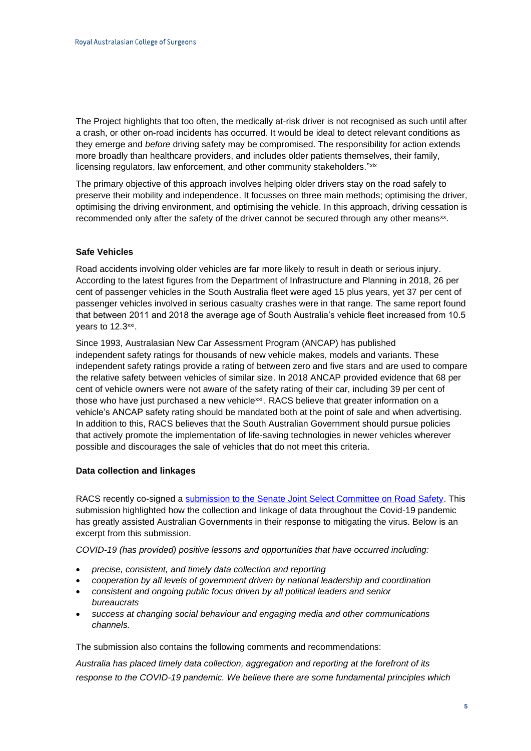The Project highlights that too often, the medically at-risk driver is not recognised as such until after a crash, or other on-road incidents has occurred. It would be ideal to detect relevant conditions as they emerge and *before* driving safety may be compromised. The responsibility for action extends more broadly than healthcare providers, and includes older patients themselves, their family, licensing regulators, law enforcement, and other community stakeholders."xix

The primary objective of this approach involves helping older drivers stay on the road safely to preserve their mobility and independence. It focusses on three main methods; optimising the driver, optimising the driving environment, and optimising the vehicle. In this approach, driving cessation is recommended only after the safety of the driver cannot be secured through any other means<sup>xx</sup>.

# **Safe Vehicles**

Road accidents involving older vehicles are far more likely to result in death or serious injury. According to the latest figures from the Department of Infrastructure and Planning in 2018, 26 per cent of passenger vehicles in the South Australia fleet were aged 15 plus years, yet 37 per cent of passenger vehicles involved in serious casualty crashes were in that range. The same report found that between 2011 and 2018 the average age of South Australia's vehicle fleet increased from 10.5 years to 12.3<sup>xxi</sup>.

Since 1993, Australasian New Car Assessment Program (ANCAP) has published independent [safety ratings](https://www.ancap.com.au/safety-ratings) for thousands of new vehicle makes, models and variants. These independent safety ratings provide a rating of between zero and five stars and are used to compare the relative safety between vehicles of similar size. In 2018 ANCAP provided evidence that 68 per cent of vehicle owners were not aware of the safety rating of their car, including 39 per cent of those who have just purchased a new vehicle<sup>xxii</sup>. RACS believe that greater information on a vehicle's ANCAP safety rating should be mandated both at the point of sale and when advertising. In addition to this, RACS believes that the South Australian Government should pursue policies that actively promote the implementation of life-saving technologies in newer vehicles wherever possible and discourages the sale of vehicles that do not meet this criteria.

#### **Data collection and linkages**

RACS recently co-signed a [submission to the Senate Joint Select Committee on Road Safety.](https://www.surgeons.org/News/Advocacy/Letter-to-Joint-Select-Committee-on-Road-Safety) This submission highlighted how the collection and linkage of data throughout the Covid-19 pandemic has greatly assisted Australian Governments in their response to mitigating the virus. Below is an excerpt from this submission.

*COVID-19 (has provided) positive lessons and opportunities that have occurred including:*

- *precise, consistent, and timely data collection and reporting*
- *cooperation by all levels of government driven by national leadership and coordination*
- *consistent and ongoing public focus driven by all political leaders and senior bureaucrats*
- *success at changing social behaviour and engaging media and other communications channels.*

The submission also contains the following comments and recommendations:

*Australia has placed timely data collection, aggregation and reporting at the forefront of its response to the COVID-19 pandemic. We believe there are some fundamental principles which*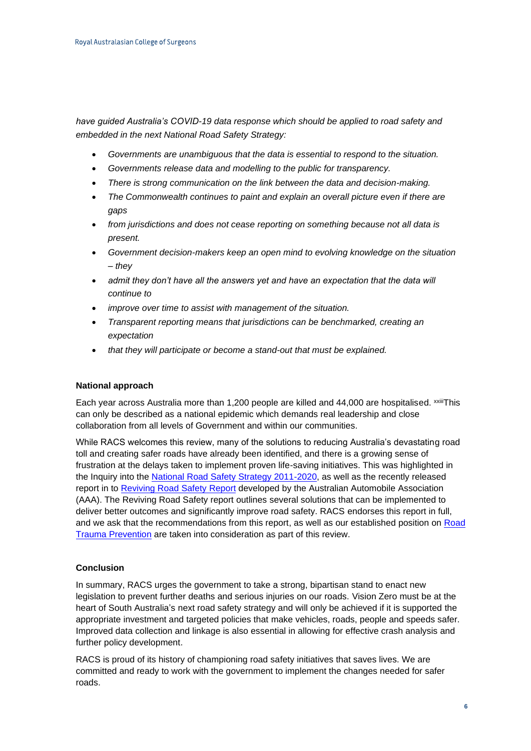*have guided Australia's COVID-19 data response which should be applied to road safety and embedded in the next National Road Safety Strategy:* 

- *Governments are unambiguous that the data is essential to respond to the situation.*
- *Governments release data and modelling to the public for transparency.*
- *There is strong communication on the link between the data and decision-making.*
- *The Commonwealth continues to paint and explain an overall picture even if there are gaps*
- *from jurisdictions and does not cease reporting on something because not all data is present.*
- *Government decision-makers keep an open mind to evolving knowledge on the situation – they*
- *admit they don't have all the answers yet and have an expectation that the data will continue to*
- *improve over time to assist with management of the situation.*
- *Transparent reporting means that jurisdictions can be benchmarked, creating an expectation*
- *that they will participate or become a stand-out that must be explained.*

#### **National approach**

Each year across Australia more than 1,200 people are killed and 44,000 are hospitalised. xxiiiThis can only be described as a national epidemic which demands real leadership and close collaboration from all levels of Government and within our communities.

While RACS welcomes this review, many of the solutions to reducing Australia's devastating road toll and creating safer roads have already been identified, and there is a growing sense of frustration at the delays taken to implement proven life-saving initiatives. This was highlighted in the [Inquiry into the National Road Safety Strategy 2011-2020,](https://umbraco.surgeons.org/media/3213/nrss-inquiry-final-report-september-2018-revised.pdf) as well as the recently released report in to [Reviving Road Safety](https://www.aaa.asn.au/wp-content/uploads/2019/09/AAA-Reviving-Road-Safety-2019.pdf) Report developed by the Australian Automobile Association (AAA). The Reviving Road Safety report outlines several solutions that can be implemented to deliver better outcomes and significantly improve road safety. RACS endorses this report in full, and we ask that the recommendations from this report, as well as our established position on [Road](https://www.surgeons.org/-/media/Project/RACS/surgeons-org/files/position-papers/2015-09-09_pos_fes-fel-046_road_trauma_prevention.pdf?rev=f8b0f48a3fa744d19cd6e03c6dc46da7)  [Trauma Prevention](https://www.surgeons.org/-/media/Project/RACS/surgeons-org/files/position-papers/2015-09-09_pos_fes-fel-046_road_trauma_prevention.pdf?rev=f8b0f48a3fa744d19cd6e03c6dc46da7) are taken into consideration as part of this review.

#### **Conclusion**

In summary, RACS urges the government to take a strong, bipartisan stand to enact new legislation to prevent further deaths and serious injuries on our roads. Vision Zero must be at the heart of South Australia's next road safety strategy and will only be achieved if it is supported the appropriate investment and targeted policies that make vehicles, roads, people and speeds safer. Improved data collection and linkage is also essential in allowing for effective crash analysis and further policy development.

RACS is proud of its history of championing road safety initiatives that saves lives. We are committed and ready to work with the government to implement the changes needed for safer roads.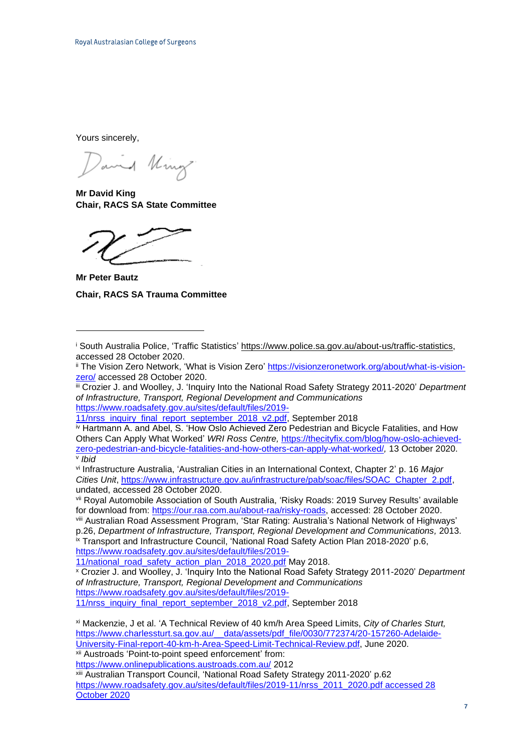Yours sincerely,

and King

**Mr David King Chair, RACS SA State Committee**

**Mr Peter Bautz Chair, RACS SA Trauma Committee**

iii Crozier J. and Woolley, J. 'Inquiry Into the National Road Safety Strategy 2011-2020' *Department of Infrastructure, Transport, Regional Development and Communications*  [https://www.roadsafety.gov.au/sites/default/files/2019-](https://www.roadsafety.gov.au/sites/default/files/2019-11/nrss_inquiry_final_report_september_2018_v2.pdf)

[11/nrss\\_inquiry\\_final\\_report\\_september\\_2018\\_v2.pdf,](https://www.roadsafety.gov.au/sites/default/files/2019-11/nrss_inquiry_final_report_september_2018_v2.pdf) September 2018

iv Hartmann A. and Abel, S. ['How Oslo Achieved Zero Pedestrian and Bicycle Fatalities, and How](https://thecityfix.com/blog/how-oslo-achieved-zero-pedestrian-and-bicycle-fatalities-and-how-others-can-apply-what-worked/)  [Others Can Apply What Worked'](https://thecityfix.com/blog/how-oslo-achieved-zero-pedestrian-and-bicycle-fatalities-and-how-others-can-apply-what-worked/) *WRI Ross Centre,* [https://thecityfix.com/blog/how-oslo-achieved](https://thecityfix.com/blog/how-oslo-achieved-zero-pedestrian-and-bicycle-fatalities-and-how-others-can-apply-what-worked/)[zero-pedestrian-and-bicycle-fatalities-and-how-others-can-apply-what-worked/](https://thecityfix.com/blog/how-oslo-achieved-zero-pedestrian-and-bicycle-fatalities-and-how-others-can-apply-what-worked/)*,* 13 October 2020. v *Ibid*

vi Infrastructure Australia, 'Australian Cities in an International Context, Chapter 2' p. 16 *Major Cities Unit*, [https://www.infrastructure.gov.au/infrastructure/pab/soac/files/SOAC\\_Chapter\\_2.pdf,](https://www.infrastructure.gov.au/infrastructure/pab/soac/files/SOAC_Chapter_2.pdf) undated, accessed 28 October 2020.

vii Royal Automobile Association of South Australia, 'Risky Roads: 2019 Survey Results' available for download from: [https://our.raa.com.au/about-raa/risky-roads,](https://our.raa.com.au/about-raa/risky-roads) accessed: 28 October 2020.

viii Australian Road Assessment Program, 'Star Rating: Australia's National Network of Highways' p.26, *Department of Infrastructure, Transport, Regional Development and Communications,* 2013. ix Transport and Infrastructure Council, 'National Road Safety Action Plan 2018-2020' p.6,

[https://www.roadsafety.gov.au/sites/default/files/2019-](https://www.roadsafety.gov.au/sites/default/files/2019-11/national_road_safety_action_plan_2018_2020.pdf)

[11/national\\_road\\_safety\\_action\\_plan\\_2018\\_2020.pdf](https://www.roadsafety.gov.au/sites/default/files/2019-11/national_road_safety_action_plan_2018_2020.pdf) May 2018.

<sup>x</sup> Crozier J. and Woolley, J. 'Inquiry Into the National Road Safety Strategy 2011-2020' *Department of Infrastructure, Transport, Regional Development and Communications*  [https://www.roadsafety.gov.au/sites/default/files/2019-](https://www.roadsafety.gov.au/sites/default/files/2019-11/nrss_inquiry_final_report_september_2018_v2.pdf)

[11/nrss\\_inquiry\\_final\\_report\\_september\\_2018\\_v2.pdf,](https://www.roadsafety.gov.au/sites/default/files/2019-11/nrss_inquiry_final_report_september_2018_v2.pdf) September 2018

xii Austroads 'Point-to-point speed enforcement' from:

<https://www.onlinepublications.austroads.com.au/> 2012

xiii Australian Transport Council, 'National Road Safety Strategy 2011-2020' p.62 [https://www.roadsafety.gov.au/sites/default/files/2019-11/nrss\\_2011\\_2020.pdf](https://www.roadsafety.gov.au/sites/default/files/2019-11/nrss_2011_2020.pdf%20accessed%2028%20October%202020) accessed 28 [October 2020](https://www.roadsafety.gov.au/sites/default/files/2019-11/nrss_2011_2020.pdf%20accessed%2028%20October%202020)

<sup>&</sup>lt;sup>i</sup> South Australia Police, 'Traffic Statistics' [https://www.police.sa.gov.au/about-us/traffic-statistics,](https://www.police.sa.gov.au/about-us/traffic-statistics) accessed 28 October 2020.

ii The Vision Zero Network, 'What is Vision Zero' [https://visionzeronetwork.org/about/what-is-vision](https://visionzeronetwork.org/about/what-is-vision-zero/)[zero/](https://visionzeronetwork.org/about/what-is-vision-zero/) accessed 28 October 2020.

xi Mackenzie, J et al. 'A Technical Review of 40 km/h Area Speed Limits, *City of Charles Sturt,* [https://www.charlessturt.sa.gov.au/\\_\\_data/assets/pdf\\_file/0030/772374/20-157260-Adelaide-](https://www.charlessturt.sa.gov.au/__data/assets/pdf_file/0030/772374/20-157260-Adelaide-University-Final-report-40-km-h-Area-Speed-Limit-Technical-Review.pdf)[University-Final-report-40-km-h-Area-Speed-Limit-Technical-Review.pdf,](https://www.charlessturt.sa.gov.au/__data/assets/pdf_file/0030/772374/20-157260-Adelaide-University-Final-report-40-km-h-Area-Speed-Limit-Technical-Review.pdf) June 2020.